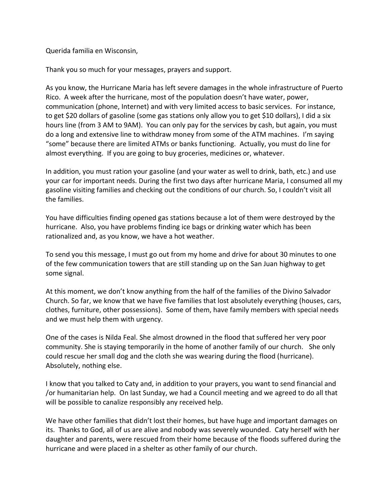Querida familia en Wisconsin,

Thank you so much for your messages, prayers and support.

As you know, the Hurricane Maria has left severe damages in the whole infrastructure of Puerto Rico. A week after the hurricane, most of the population doesn't have water, power, communication (phone, Internet) and with very limited access to basic services. For instance, to get \$20 dollars of gasoline (some gas stations only allow you to get \$10 dollars), I did a six hours line (from 3 AM to 9AM). You can only pay for the services by cash, but again, you must do a long and extensive line to withdraw money from some of the ATM machines. I'm saying "some" because there are limited ATMs or banks functioning. Actually, you must do line for almost everything. If you are going to buy groceries, medicines or, whatever.

In addition, you must ration your gasoline (and your water as well to drink, bath, etc.) and use your car for important needs. During the first two days after hurricane Maria, I consumed all my gasoline visiting families and checking out the conditions of our church. So, I couldn't visit all the families.

You have difficulties finding opened gas stations because a lot of them were destroyed by the hurricane. Also, you have problems finding ice bags or drinking water which has been rationalized and, as you know, we have a hot weather.

To send you this message, I must go out from my home and drive for about 30 minutes to one of the few communication towers that are still standing up on the San Juan highway to get some signal.

At this moment, we don't know anything from the half of the families of the Divino Salvador Church. So far, we know that we have five families that lost absolutely everything (houses, cars, clothes, furniture, other possessions). Some of them, have family members with special needs and we must help them with urgency.

One of the cases is Nilda Feal. She almost drowned in the flood that suffered her very poor community. She is staying temporarily in the home of another family of our church. She only could rescue her small dog and the cloth she was wearing during the flood (hurricane). Absolutely, nothing else.

I know that you talked to Caty and, in addition to your prayers, you want to send financial and /or humanitarian help. On last Sunday, we had a Council meeting and we agreed to do all that will be possible to canalize responsibly any received help.

We have other families that didn't lost their homes, but have huge and important damages on its. Thanks to God, all of us are alive and nobody was severely wounded. Caty herself with her daughter and parents, were rescued from their home because of the floods suffered during the hurricane and were placed in a shelter as other family of our church.